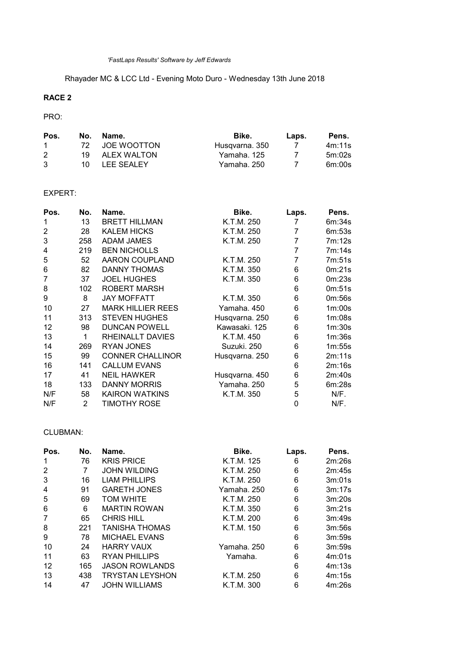Rhayader MC & LCC Ltd - Evening Moto Duro - Wednesday 13th June 2018

# RACE 2

## PRO:

| Pos.         | No.  | Name.          | Bike.          | Laps. | Pens.  |
|--------------|------|----------------|----------------|-------|--------|
| $\mathbf{1}$ | 72.  | JOE WOOTTON    | Husqvarna. 350 |       | 4m:11s |
| 2            |      | 19 ALEX WALTON | Yamaha. 125    |       | 5m:02s |
| 3            | 10 L | LEE SEALEY     | Yamaha, 250    |       | 6m:00s |

## EXPERT:

| Pos. | No. | Name.                    | Bike.          | Laps. | Pens.  |
|------|-----|--------------------------|----------------|-------|--------|
| 1    | 13  | <b>BRETT HILLMAN</b>     | K.T.M. 250     | 7     | 6m:34s |
| 2    | 28  | <b>KALEM HICKS</b>       | K.T.M. 250     | 7     | 6m:53s |
| 3    | 258 | <b>ADAM JAMES</b>        | K.T.M. 250     | 7     | 7m:12s |
| 4    | 219 | <b>BEN NICHOLLS</b>      |                | 7     | 7m:14s |
| 5    | 52  | AARON COUPLAND           | K.T.M. 250     | 7     | 7m:51s |
| 6    | 82  | <b>DANNY THOMAS</b>      | K.T.M. 350     | 6     | 0m:21s |
| 7    | 37  | <b>JOEL HUGHES</b>       | K.T.M. 350     | 6     | 0m:23s |
| 8    | 102 | <b>ROBERT MARSH</b>      |                | 6     | 0m:51s |
| 9    | 8   | <b>JAY MOFFATT</b>       | K.T.M. 350     | 6     | 0m:56s |
| 10   | 27  | <b>MARK HILLIER REES</b> | Yamaha, 450    | 6     | 1m:00s |
| 11   | 313 | <b>STEVEN HUGHES</b>     | Husqvarna. 250 | 6     | 1m:08s |
| 12   | 98  | <b>DUNCAN POWELL</b>     | Kawasaki, 125  | 6     | 1m:30s |
| 13   | 1   | RHEINALLT DAVIES         | K.T.M. 450     | 6     | 1m:36s |
| 14   | 269 | <b>RYAN JONES</b>        | Suzuki, 250    | 6     | 1m:55s |
| 15   | 99  | <b>CONNER CHALLINOR</b>  | Husqvarna. 250 | 6     | 2m:11s |
| 16   | 141 | <b>CALLUM EVANS</b>      |                | 6     | 2m:16s |
| 17   | 41  | <b>NEIL HAWKER</b>       | Husqvarna. 450 | 6     | 2m:40s |
| 18   | 133 | <b>DANNY MORRIS</b>      | Yamaha. 250    | 5     | 6m:28s |
| N/F  | 58  | <b>KAIRON WATKINS</b>    | K.T.M. 350     | 5     | N/F.   |
| N/F  | 2   | TIMOTHY ROSE             |                | 0     | N/F.   |

## CLUBMAN:

| Pos. | No. | Name.                  | Bike.       | Laps. | Pens.  |
|------|-----|------------------------|-------------|-------|--------|
| 1    | 76  | <b>KRIS PRICE</b>      | K.T.M. 125  | 6     | 2m:26s |
| 2    | 7   | <b>JOHN WILDING</b>    | K.T.M. 250  | 6     | 2m:45s |
| 3    | 16  | <b>LIAM PHILLIPS</b>   | K.T.M. 250  | 6     | 3m:01s |
| 4    | 91  | <b>GARETH JONES</b>    | Yamaha, 250 | 6     | 3m:17s |
| 5    | 69  | <b>TOM WHITE</b>       | K.T.M. 250  | 6     | 3m:20s |
| 6    | 6   | <b>MARTIN ROWAN</b>    | K.T.M. 350  | 6     | 3m:21s |
| 7    | 65  | <b>CHRIS HILL</b>      | K.T.M. 200  | 6     | 3m:49s |
| 8    | 221 | TANISHA THOMAS         | K.T.M. 150  | 6     | 3m:56s |
| 9    | 78  | <b>MICHAEL EVANS</b>   |             | 6     | 3m:59s |
| 10   | 24  | <b>HARRY VAUX</b>      | Yamaha, 250 | 6     | 3m:59s |
| 11   | 63  | <b>RYAN PHILLIPS</b>   | Yamaha.     | 6     | 4m:01s |
| 12   | 165 | <b>JASON ROWLANDS</b>  |             | 6     | 4m:13s |
| 13   | 438 | <b>TRYSTAN LEYSHON</b> | K.T.M. 250  | 6     | 4m:15s |
| 14   | 47  | <b>JOHN WILLIAMS</b>   | K.T.M. 300  | 6     | 4m:26s |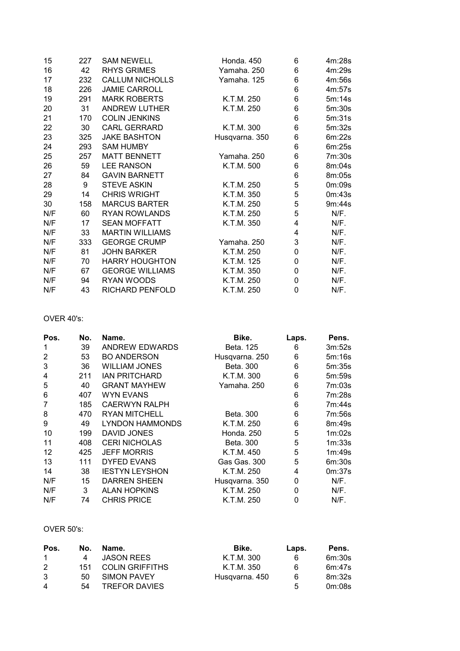| 15  | 227 | <b>SAM NEWELL</b>      | Honda. 450     | 6 | 4m:28s |
|-----|-----|------------------------|----------------|---|--------|
| 16  | 42  | <b>RHYS GRIMES</b>     | Yamaha. 250    | 6 | 4m:29s |
| 17  | 232 | <b>CALLUM NICHOLLS</b> | Yamaha. 125    | 6 | 4m:56s |
| 18  | 226 | <b>JAMIE CARROLL</b>   |                | 6 | 4m:57s |
| 19  | 291 | <b>MARK ROBERTS</b>    | K.T.M. 250     | 6 | 5m:14s |
| 20  | 31  | <b>ANDREW LUTHER</b>   | K.T.M. 250     | 6 | 5m:30s |
| 21  | 170 | <b>COLIN JENKINS</b>   |                | 6 | 5m:31s |
| 22  | 30  | <b>CARL GERRARD</b>    | K.T.M. 300     | 6 | 5m:32s |
| 23  | 325 | <b>JAKE BASHTON</b>    | Husqvarna. 350 | 6 | 6m:22s |
| 24  | 293 | <b>SAM HUMBY</b>       |                | 6 | 6m:25s |
| 25  | 257 | <b>MATT BENNETT</b>    | Yamaha. 250    | 6 | 7m:30s |
| 26  | 59  | <b>LEE RANSON</b>      | K.T.M. 500     | 6 | 8m:04s |
| 27  | 84  | <b>GAVIN BARNETT</b>   |                | 6 | 8m:05s |
| 28  | 9   | <b>STEVE ASKIN</b>     | K.T.M. 250     | 5 | 0m:09s |
| 29  | 14  | <b>CHRIS WRIGHT</b>    | K.T.M. 350     | 5 | 0m:43s |
| 30  | 158 | <b>MARCUS BARTER</b>   | K.T.M. 250     | 5 | 9m:44s |
| N/F | 60  | <b>RYAN ROWLANDS</b>   | K.T.M. 250     | 5 | N/F.   |
| N/F | 17  | <b>SEAN MOFFATT</b>    | K.T.M. 350     | 4 | N/F.   |
| N/F | 33  | <b>MARTIN WILLIAMS</b> |                | 4 | N/F.   |
| N/F | 333 | <b>GEORGE CRUMP</b>    | Yamaha. 250    | 3 | N/F.   |
| N/F | 81  | <b>JOHN BARKER</b>     | K.T.M. 250     | 0 | N/F.   |
| N/F | 70  | <b>HARRY HOUGHTON</b>  | K.T.M. 125     | 0 | N/F.   |
| N/F | 67  | <b>GEORGE WILLIAMS</b> | K.T.M. 350     | 0 | N/F.   |
| N/F | 94  | RYAN WOODS             | K.T.M. 250     | 0 | N/F.   |
| N/F | 43  | RICHARD PENFOLD        | K.T.M. 250     | 0 | N/F.   |

## OVER 40's:

| Pos. | No. | Name.                  | Bike.          | Laps. | Pens.  |
|------|-----|------------------------|----------------|-------|--------|
| 1    | 39  | ANDREW EDWARDS         | Beta, 125      | 6     | 3m:52s |
| 2    | 53  | <b>BO ANDERSON</b>     | Husqvarna. 250 | 6     | 5m:16s |
| 3    | 36  | <b>WILLIAM JONES</b>   | Beta. 300      | 6     | 5m:35s |
| 4    | 211 | <b>IAN PRITCHARD</b>   | K.T.M. 300     | 6     | 5m:59s |
| 5    | 40  | <b>GRANT MAYHEW</b>    | Yamaha. 250    | 6     | 7m:03s |
| 6    | 407 | <b>WYN EVANS</b>       |                | 6     | 7m:28s |
| 7    | 185 | <b>CAERWYN RALPH</b>   |                | 6     | 7m:44s |
| 8    | 470 | <b>RYAN MITCHELL</b>   | Beta, 300      | 6     | 7m:56s |
| 9    | 49  | <b>LYNDON HAMMONDS</b> | K.T.M. 250     | 6     | 8m:49s |
| 10   | 199 | DAVID JONES            | Honda, 250     | 5     | 1m:02s |
| 11   | 408 | <b>CERI NICHOLAS</b>   | Beta, 300      | 5     | 1m:33s |
| 12   | 425 | <b>JEFF MORRIS</b>     | K.T.M. 450     | 5     | 1m:49s |
| 13   | 111 | <b>DYFED EVANS</b>     | Gas Gas. 300   | 5     | 6m:30s |
| 14   | 38  | <b>IESTYN LEYSHON</b>  | K.T.M. 250     | 4     | 0m:37s |
| N/F  | 15  | <b>DARREN SHEEN</b>    | Husqvarna. 350 | 0     | N/F.   |
| N/F  | 3   | <b>ALAN HOPKINS</b>    | K.T.M. 250     | 0     | N/F.   |
| N/F  | 74  | <b>CHRIS PRICE</b>     | K.T.M. 250     | 0     | N/F.   |

#### OVER 50's:

| Pos. | No. | Name.                  | Bike.          | Laps. | Pens.  |
|------|-----|------------------------|----------------|-------|--------|
| -1   | 4   | <b>JASON REES</b>      | K.T.M. 300     | 6     | 6m:30s |
| 2    | 151 | <b>COLIN GRIFFITHS</b> | K.T.M. 350     | 6     | 6m:47s |
| 3    | 50. | <b>SIMON PAVEY</b>     | Husqvarna, 450 | 6     | 8m:32s |
| 4    | 54  | <b>TREFOR DAVIES</b>   |                | 5     | 0m:08s |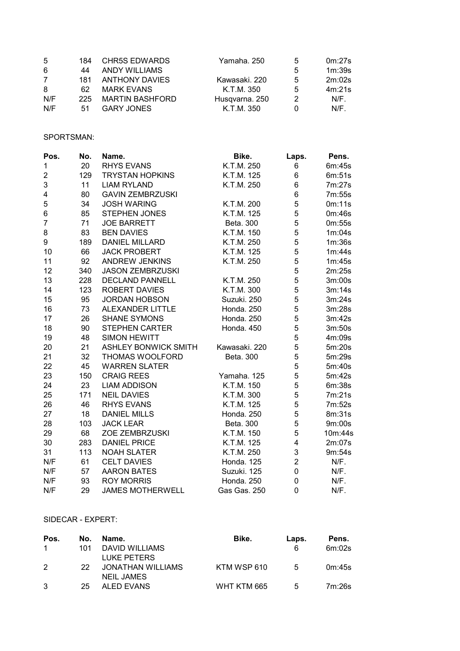| .5  | 184 | <b>CHR5S EDWARDS</b>   | Yamaha, 250    | 5 | 0m:27s  |
|-----|-----|------------------------|----------------|---|---------|
| 6   | 44  | ANDY WILLIAMS          |                | 5 | 1m:39s  |
| 7   | 181 | <b>ANTHONY DAVIES</b>  | Kawasaki, 220  | 5 | 2m:02s  |
| 8   | 62. | <b>MARK EVANS</b>      | K.T.M. 350     | 5 | 4m:21s  |
| N/F | 225 | <b>MARTIN BASHFORD</b> | Husqvarna. 250 | 2 | $N/F$ . |
| N/F | 51. | <b>GARY JONES</b>      | K.T.M. 350     |   | $N/F$ . |

### SPORTSMAN:

| Pos.           | No. | Name.                       | Bike.         | Laps.                   | Pens.   |
|----------------|-----|-----------------------------|---------------|-------------------------|---------|
| $\mathbf 1$    | 20  | <b>RHYS EVANS</b>           | K.T.M. 250    | 6                       | 6m:45s  |
| 2              | 129 | <b>TRYSTAN HOPKINS</b>      | K.T.M. 125    | 6                       | 6m:51s  |
| 3              | 11  | <b>LIAM RYLAND</b>          | K.T.M. 250    | 6                       | 7m:27s  |
| 4              | 80  | <b>GAVIN ZEMBRZUSKI</b>     |               | 6                       | 7m:55s  |
| 5              | 34  | <b>JOSH WARING</b>          | K.T.M. 200    | 5                       | 0m:11s  |
| $\,6$          | 85  | <b>STEPHEN JONES</b>        | K.T.M. 125    | 5                       | 0m:46s  |
| $\overline{7}$ | 71  | <b>JOE BARRETT</b>          | Beta. 300     | 5                       | 0m:55s  |
| 8              | 83  | <b>BEN DAVIES</b>           | K.T.M. 150    | 5                       | 1m:04s  |
| 9              | 189 | <b>DANIEL MILLARD</b>       | K.T.M. 250    | 5                       | 1m:36s  |
| 10             | 66  | <b>JACK PROBERT</b>         | K.T.M. 125    | 5                       | 1m:44s  |
| 11             | 92  | <b>ANDREW JENKINS</b>       | K.T.M. 250    | 5                       | 1m:45s  |
| 12             | 340 | <b>JASON ZEMBRZUSKI</b>     |               | 5                       | 2m:25s  |
| 13             | 228 | <b>DECLAND PANNELL</b>      | K.T.M. 250    | 5                       | 3m:00s  |
| 14             | 123 | <b>ROBERT DAVIES</b>        | K.T.M. 300    | 5                       | 3m:14s  |
| 15             | 95  | <b>JORDAN HOBSON</b>        | Suzuki. 250   | 5                       | 3m:24s  |
| 16             | 73  | ALEXANDER LITTLE            | Honda. 250    | 5                       | 3m:28s  |
| 17             | 26  | <b>SHANE SYMONS</b>         | Honda. 250    | 5                       | 3m:42s  |
| 18             | 90  | <b>STEPHEN CARTER</b>       | Honda. 450    | 5                       | 3m:50s  |
| 19             | 48  | <b>SIMON HEWITT</b>         |               | 5                       | 4m:09s  |
| 20             | 21  | <b>ASHLEY BONWICK SMITH</b> | Kawasaki. 220 | 5                       | 5m:20s  |
| 21             | 32  | THOMAS WOOLFORD             | Beta. 300     | 5                       | 5m:29s  |
| 22             | 45  | <b>WARREN SLATER</b>        |               | 5                       | 5m:40s  |
| 23             | 150 | <b>CRAIG REES</b>           | Yamaha. 125   | 5                       | 5m:42s  |
| 24             | 23  | <b>LIAM ADDISON</b>         | K.T.M. 150    | 5                       | 6m:38s  |
| 25             | 171 | <b>NEIL DAVIES</b>          | K.T.M. 300    | 5                       | 7m:21s  |
| 26             | 46  | <b>RHYS EVANS</b>           | K.T.M. 125    | 5                       | 7m:52s  |
| 27             | 18  | <b>DANIEL MILLS</b>         | Honda. 250    | 5                       | 8m:31s  |
| 28             | 103 | <b>JACK LEAR</b>            | Beta. 300     | 5                       | 9m:00s  |
| 29             | 68  | ZOE ZEMBRZUSKI              | K.T.M. 150    | 5                       | 10m:44s |
| 30             | 283 | <b>DANIEL PRICE</b>         | K.T.M. 125    | $\overline{\mathbf{4}}$ | 2m:07s  |
| 31             | 113 | <b>NOAH SLATER</b>          | K.T.M. 250    | 3                       | 9m:54s  |
| N/F            | 61  | <b>CELT DAVIES</b>          | Honda. 125    | $\overline{c}$          | N/F.    |
| N/F            | 57  | <b>AARON BATES</b>          | Suzuki. 125   | 0                       | N/F.    |
| N/F            | 93  | <b>ROY MORRIS</b>           | Honda. 250    | 0                       | N/F.    |
| N/F            | 29  | <b>JAMES MOTHERWELL</b>     | Gas Gas. 250  | 0                       | N/F.    |

#### SIDECAR - EXPERT:

| Pos.          | No.  | Name.             | Bike.       | Laps. | Pens.  |
|---------------|------|-------------------|-------------|-------|--------|
| $\mathbf{1}$  | 101  | DAVID WILLIAMS    |             | 6     | 6m:02s |
|               |      | LUKE PETERS       |             |       |        |
| $\mathcal{P}$ | -22. | JONATHAN WILLIAMS | KTM WSP 610 | 5     | 0m:45s |
|               |      | <b>NEIL JAMES</b> |             |       |        |
|               | 25   | ALED EVANS        | WHT KTM 665 | 5     | 7m:26s |